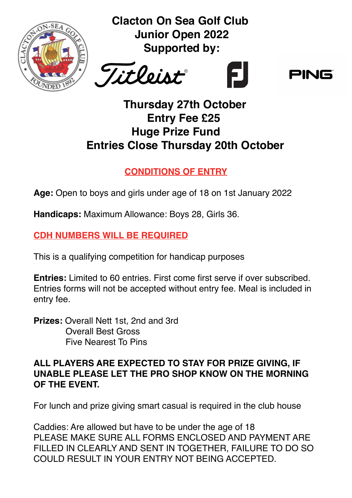

**Clacton On Sea Golf Club Junior Open 2022 Supported by:** 





### **Thursday 27th October Entry Fee £25 Huge Prize Fund Entries Close Thursday 20th October**

### **CONDITIONS OF ENTRY**

**Age:** Open to boys and girls under age of 18 on 1st January 2022

**Handicaps:** Maximum Allowance: Boys 28, Girls 36.

#### **CDH NUMBERS WILL BE REQUIRED**

This is a qualifying competition for handicap purposes

**Entries:** Limited to 60 entries. First come first serve if over subscribed. Entries forms will not be accepted without entry fee. Meal is included in entry fee.

**Prizes:** Overall Nett 1st, 2nd and 3rd Overall Best Gross Five Nearest To Pins

#### **ALL PLAYERS ARE EXPECTED TO STAY FOR PRIZE GIVING, IF UNABLE PLEASE LET THE PRO SHOP KNOW ON THE MORNING OF THE EVENT.**

For lunch and prize giving smart casual is required in the club house

Caddies: Are allowed but have to be under the age of 18 PLEASE MAKE SURE ALL FORMS ENCLOSED AND PAYMENT ARE FILLED IN CLEARLY AND SENT IN TOGETHER, FAILURE TO DO SO COULD RESULT IN YOUR ENTRY NOT BEING ACCEPTED.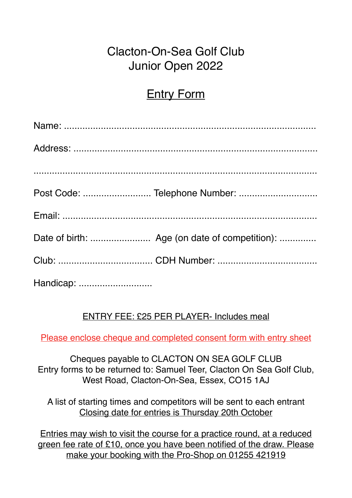# Clacton-On-Sea Golf Club Junior Open 2022

# **Entry Form**

| Post Code:  Telephone Number: |
|-------------------------------|
|                               |
|                               |
|                               |
|                               |

#### ENTRY FEE: £25 PER PLAYER- Includes meal

Please enclose cheque and completed consent form with entry sheet

Cheques payable to CLACTON ON SEA GOLF CLUB Entry forms to be returned to: Samuel Teer, Clacton On Sea Golf Club, West Road, Clacton-On-Sea, Essex, CO15 1AJ

A list of starting times and competitors will be sent to each entrant Closing date for entries is Thursday 20th October

Entries may wish to visit the course for a practice round, at a reduced green fee rate of £10, once you have been notified of the draw. Please make your booking with the Pro-Shop on 01255 421919